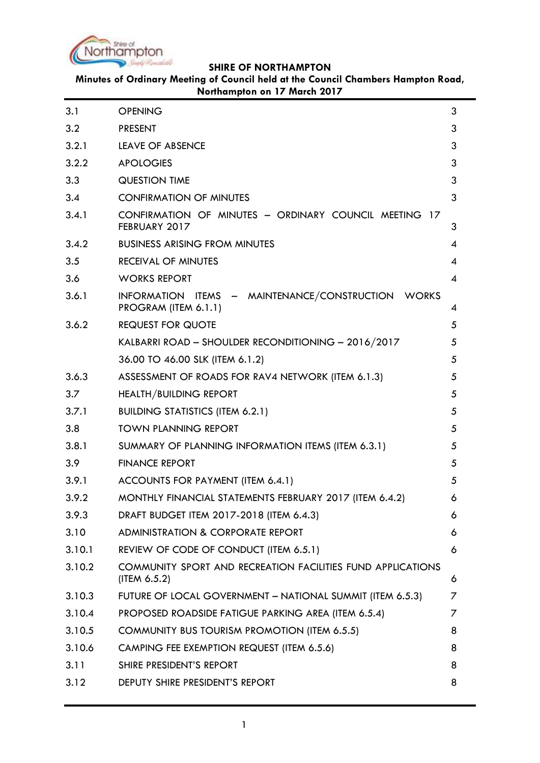

**Minutes of Ordinary Meeting of Council held at the Council Chambers Hampton Road, Northampton on 17 March 2017**

| 3.1    | <b>OPENING</b>                                                                 | 3 |
|--------|--------------------------------------------------------------------------------|---|
| 3.2    | <b>PRESENT</b>                                                                 | 3 |
| 3.2.1  | <b>LEAVE OF ABSENCE</b>                                                        | 3 |
| 3.2.2  | <b>APOLOGIES</b>                                                               | 3 |
| 3.3    | <b>QUESTION TIME</b>                                                           | 3 |
| 3.4    | <b>CONFIRMATION OF MINUTES</b>                                                 | 3 |
| 3.4.1  | CONFIRMATION OF MINUTES - ORDINARY COUNCIL MEETING 17<br>FEBRUARY 2017         | 3 |
| 3.4.2  | <b>BUSINESS ARISING FROM MINUTES</b>                                           | 4 |
| 3.5    | <b>RECEIVAL OF MINUTES</b>                                                     | 4 |
| 3.6    | <b>WORKS REPORT</b>                                                            | 4 |
| 3.6.1  | INFORMATION ITEMS - MAINTENANCE/CONSTRUCTION WORKS<br>PROGRAM (ITEM 6.1.1)     | 4 |
| 3.6.2  | <b>REQUEST FOR QUOTE</b>                                                       | 5 |
|        | KALBARRI ROAD - SHOULDER RECONDITIONING - 2016/2017                            | 5 |
|        | 36.00 TO 46.00 SLK (ITEM 6.1.2)                                                | 5 |
| 3.6.3  | ASSESSMENT OF ROADS FOR RAV4 NETWORK (ITEM 6.1.3)                              | 5 |
| 3.7    | <b>HEALTH/BUILDING REPORT</b>                                                  | 5 |
| 3.7.1  | <b>BUILDING STATISTICS (ITEM 6.2.1)</b>                                        | 5 |
| 3.8    | <b>TOWN PLANNING REPORT</b>                                                    | 5 |
| 3.8.1  | SUMMARY OF PLANNING INFORMATION ITEMS (ITEM 6.3.1)                             | 5 |
| 3.9    | <b>FINANCE REPORT</b>                                                          | 5 |
| 3.9.1  | ACCOUNTS FOR PAYMENT (ITEM 6.4.1)                                              | 5 |
| 3.9.2  | MONTHLY FINANCIAL STATEMENTS FEBRUARY 2017 (ITEM 6.4.2)                        | 6 |
| 3.9.3  | DRAFT BUDGET ITEM 2017-2018 (ITEM 6.4.3)                                       | 6 |
| 3.10   | <b>ADMINISTRATION &amp; CORPORATE REPORT</b>                                   | 6 |
| 3.10.1 | REVIEW OF CODE OF CONDUCT (ITEM 6.5.1)                                         | 6 |
| 3.10.2 | COMMUNITY SPORT AND RECREATION FACILITIES FUND APPLICATIONS<br>$($ ITEM 6.5.2) | 6 |
| 3.10.3 | FUTURE OF LOCAL GOVERNMENT - NATIONAL SUMMIT (ITEM 6.5.3)                      | 7 |
| 3.10.4 | PROPOSED ROADSIDE FATIGUE PARKING AREA (ITEM 6.5.4)                            | 7 |
| 3.10.5 | COMMUNITY BUS TOURISM PROMOTION (ITEM 6.5.5)                                   | 8 |
| 3.10.6 | CAMPING FEE EXEMPTION REQUEST (ITEM 6.5.6)                                     | 8 |
| 3.11   | SHIRE PRESIDENT'S REPORT                                                       | 8 |
| 3.12   | DEPUTY SHIRE PRESIDENT'S REPORT                                                | 8 |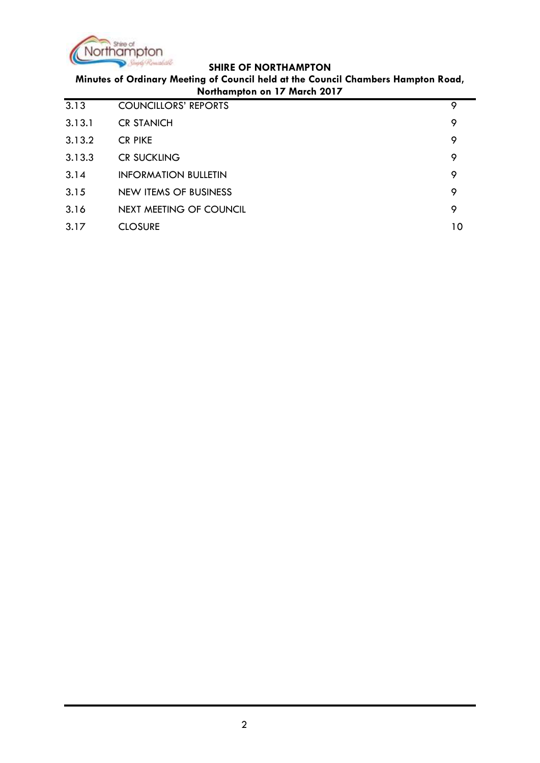

**Minutes of Ordinary Meeting of Council held at the Council Chambers Hampton Road, Northampton on 17 March 2017**

| 3.13   | <b>COUNCILLORS' REPORTS</b> | 9  |
|--------|-----------------------------|----|
| 3.13.1 | <b>CR STANICH</b>           | 9  |
| 3.13.2 | <b>CR PIKE</b>              | 9  |
| 3.13.3 | <b>CR SUCKLING</b>          | 9  |
| 3.14   | <b>INFORMATION BULLETIN</b> | 9  |
| 3.15   | NEW ITEMS OF BUSINESS       | 9  |
| 3.16   | NEXT MEETING OF COUNCIL     | 9  |
| 3.17   | <b>CLOSURE</b>              | 10 |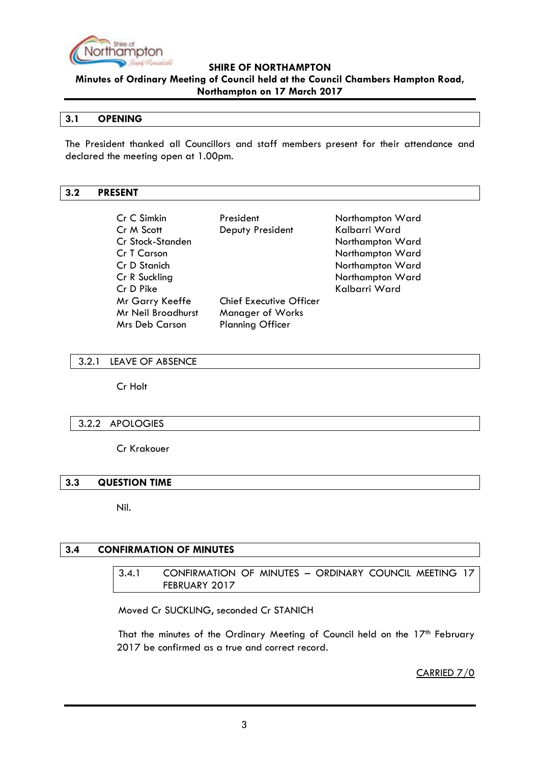

**Minutes of Ordinary Meeting of Council held at the Council Chambers Hampton Road, Northampton on 17 March 2017**

## <span id="page-2-0"></span>**3.1 OPENING**

The President thanked all Councillors and staff members present for their attendance and declared the meeting open at 1.00pm.

### <span id="page-2-1"></span>**3.2 PRESENT**

| Cr C Simkin               | President                      | Northampton Ward |
|---------------------------|--------------------------------|------------------|
| Cr M Scott                | Deputy President               | Kalbarri Ward    |
| Cr Stock-Standen          |                                | Northampton Ward |
| Cr T Carson               |                                | Northampton Ward |
| Cr D Stanich              |                                | Northampton Ward |
| Cr R Suckling             |                                | Northampton Ward |
| Cr D Pike                 |                                | Kalbarri Ward    |
| Mr Garry Keeffe           | <b>Chief Executive Officer</b> |                  |
| <b>Mr Neil Broadhurst</b> | <b>Manager of Works</b>        |                  |
| <b>Mrs Deb Carson</b>     | <b>Planning Officer</b>        |                  |

### <span id="page-2-2"></span>3.2.1 LEAVE OF ABSENCE

Cr Holt

### <span id="page-2-3"></span>3.2.2 APOLOGIES

Cr Krakouer

## <span id="page-2-4"></span>**3.3 QUESTION TIME**

Nil.

### <span id="page-2-6"></span><span id="page-2-5"></span>**3.4 CONFIRMATION OF MINUTES**

3.4.1 CONFIRMATION OF MINUTES – ORDINARY COUNCIL MEETING 17 FEBRUARY 2017

Moved Cr SUCKLING, seconded Cr STANICH

That the minutes of the Ordinary Meeting of Council held on the  $17<sup>th</sup>$  February 2017 be confirmed as a true and correct record.

CARRIED 7/0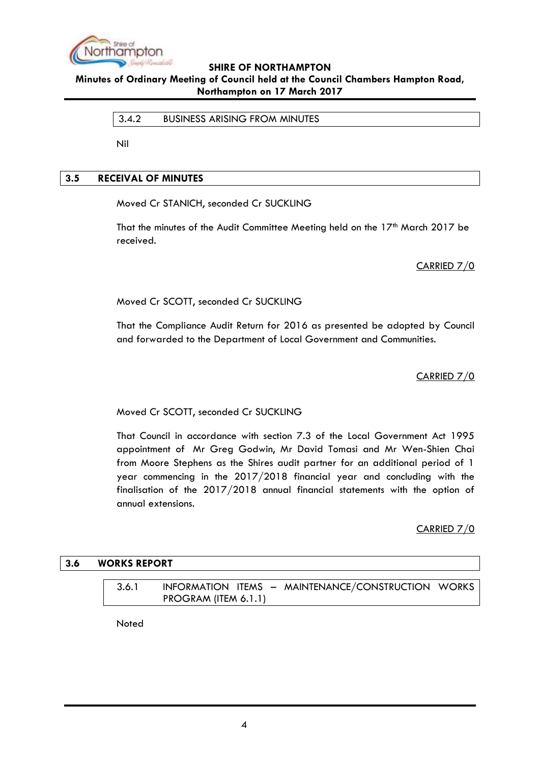

<span id="page-3-0"></span>**Minutes of Ordinary Meeting of Council held at the Council Chambers Hampton Road, Northampton on 17 March 2017**

## 3.4.2 BUSINESS ARISING FROM MINUTES

Nil

## <span id="page-3-1"></span>**3.5 RECEIVAL OF MINUTES**

Moved Cr STANICH, seconded Cr SUCKLING

That the minutes of the Audit Committee Meeting held on the 17<sup>th</sup> March 2017 be received.

CARRIED 7/0

Moved Cr SCOTT, seconded Cr SUCKLING

That the Compliance Audit Return for 2016 as presented be adopted by Council and forwarded to the Department of Local Government and Communities.

CARRIED 7/0

### Moved Cr SCOTT, seconded Cr SUCKLING

That Council in accordance with section 7.3 of the Local Government Act 1995 appointment of Mr Greg Godwin, Mr David Tomasi and Mr Wen-Shien Chai from Moore Stephens as the Shires audit partner for an additional period of 1 year commencing in the 2017/2018 financial year and concluding with the finalisation of the 2017/2018 annual financial statements with the option of annual extensions.

CARRIED 7/0

### <span id="page-3-3"></span><span id="page-3-2"></span>**3.6 WORKS REPORT**

3.6.1 INFORMATION ITEMS – MAINTENANCE/CONSTRUCTION WORKS PROGRAM (ITEM 6.1.1)

Noted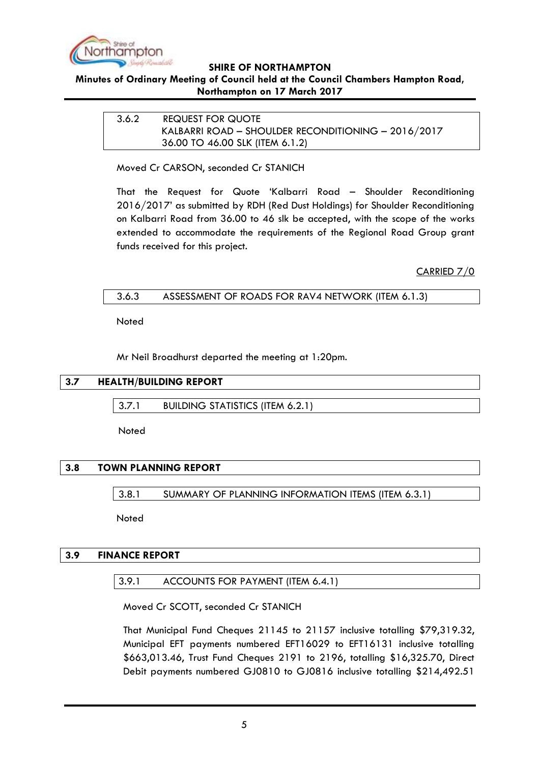

# <span id="page-4-0"></span>**Minutes of Ordinary Meeting of Council held at the Council Chambers Hampton Road, Northampton on 17 March 2017**

<span id="page-4-1"></span>3.6.2 REQUEST FOR QUOTE KALBARRI ROAD – SHOULDER RECONDITIONING – 2016/2017 36.00 TO 46.00 SLK (ITEM 6.1.2)

<span id="page-4-2"></span>Moved Cr CARSON, seconded Cr STANICH

That the Request for Quote 'Kalbarri Road – Shoulder Reconditioning 2016/2017' as submitted by RDH (Red Dust Holdings) for Shoulder Reconditioning on Kalbarri Road from 36.00 to 46 slk be accepted, with the scope of the works extended to accommodate the requirements of the Regional Road Group grant funds received for this project.

CARRIED 7/0

<span id="page-4-3"></span>

| 3.6.3 | ASSESSMENT OF ROADS FOR RAV4 NETWORK (ITEM 6.1.3) |  |
|-------|---------------------------------------------------|--|
|       |                                                   |  |

Noted

Mr Neil Broadhurst departed the meeting at 1:20pm.

## <span id="page-4-5"></span><span id="page-4-4"></span>**3.7 HEALTH/BUILDING REPORT**

3.7.1 BUILDING STATISTICS (ITEM 6.2.1)

**Noted** 

# <span id="page-4-7"></span><span id="page-4-6"></span>**3.8 TOWN PLANNING REPORT**

3.8.1 SUMMARY OF PLANNING INFORMATION ITEMS (ITEM 6.3.1)

Noted

## <span id="page-4-9"></span><span id="page-4-8"></span>**3.9 FINANCE REPORT**

### 3.9.1 ACCOUNTS FOR PAYMENT (ITEM 6.4.1)

Moved Cr SCOTT, seconded Cr STANICH

That Municipal Fund Cheques 21145 to 21157 inclusive totalling \$79,319.32, Municipal EFT payments numbered EFT16029 to EFT16131 inclusive totalling \$663,013.46, Trust Fund Cheques 2191 to 2196, totalling \$16,325.70, Direct Debit payments numbered GJ0810 to GJ0816 inclusive totalling \$214,492.51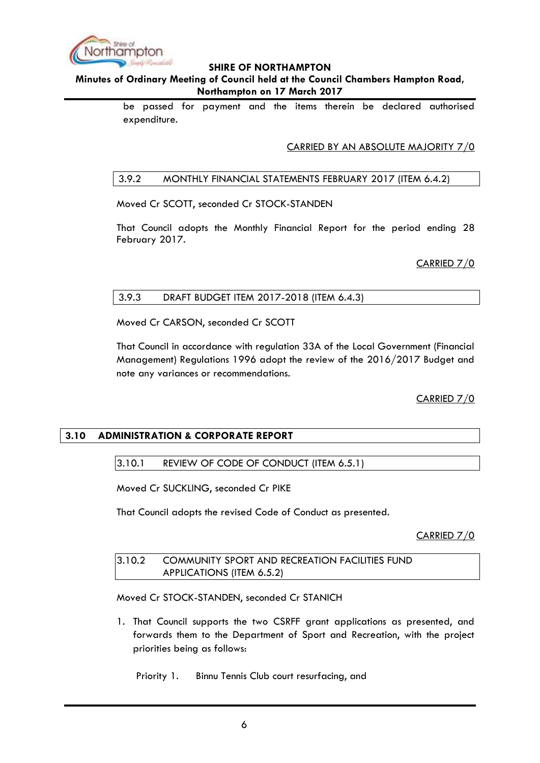

# **Minutes of Ordinary Meeting of Council held at the Council Chambers Hampton Road, Northampton on 17 March 2017**

be passed for payment and the items therein be declared authorised expenditure.

CARRIED BY AN ABSOLUTE MAJORITY 7/0

## <span id="page-5-0"></span>3.9.2 MONTHLY FINANCIAL STATEMENTS FEBRUARY 2017 (ITEM 6.4.2)

Moved Cr SCOTT, seconded Cr STOCK-STANDEN

That Council adopts the Monthly Financial Report for the period ending 28 February 2017.

CARRIED 7/0

## <span id="page-5-1"></span>3.9.3 DRAFT BUDGET ITEM 2017-2018 (ITEM 6.4.3)

Moved Cr CARSON, seconded Cr SCOTT

That Council in accordance with regulation 33A of the Local Government (Financial Management) Regulations 1996 adopt the review of the 2016/2017 Budget and note any variances or recommendations.

CARRIED 7/0

# <span id="page-5-3"></span><span id="page-5-2"></span>**3.10 ADMINISTRATION & CORPORATE REPORT**

## 3.10.1 REVIEW OF CODE OF CONDUCT (ITEM 6.5.1)

Moved Cr SUCKLING, seconded Cr PIKE

That Council adopts the revised Code of Conduct as presented.

CARRIED 7/0

<span id="page-5-4"></span>

| 3.10.2 | <b>COMMUNITY SPORT AND RECREATION FACILITIES FUND</b> |  |
|--------|-------------------------------------------------------|--|
|        | APPLICATIONS (ITEM 6.5.2)                             |  |

Moved Cr STOCK-STANDEN, seconded Cr STANICH

1. That Council supports the two CSRFF grant applications as presented, and forwards them to the Department of Sport and Recreation, with the project priorities being as follows:

Priority 1. Binnu Tennis Club court resurfacing, and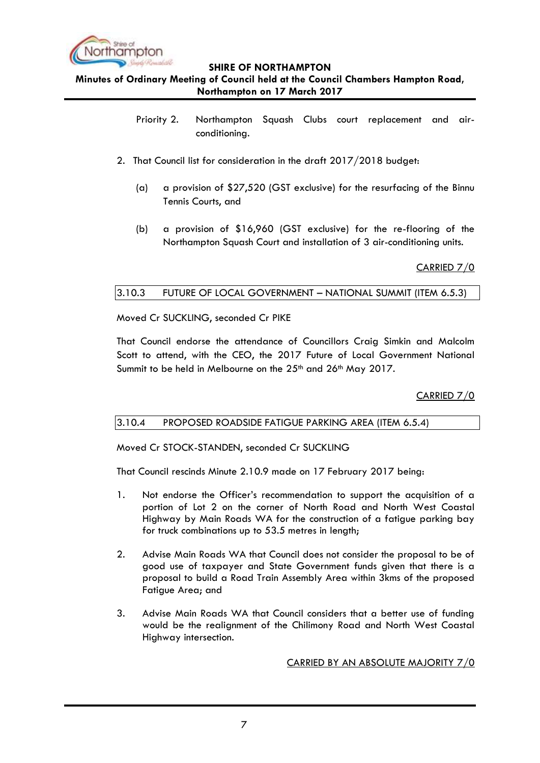

**Minutes of Ordinary Meeting of Council held at the Council Chambers Hampton Road, Northampton on 17 March 2017**

- Priority 2. Northampton Squash Clubs court replacement and airconditioning.
- 2. That Council list for consideration in the draft 2017/2018 budget:
	- (a) a provision of \$27,520 (GST exclusive) for the resurfacing of the Binnu Tennis Courts, and
	- (b) a provision of \$16,960 (GST exclusive) for the re-flooring of the Northampton Squash Court and installation of 3 air-conditioning units.

CARRIED 7/0

# <span id="page-6-0"></span>3.10.3 FUTURE OF LOCAL GOVERNMENT – NATIONAL SUMMIT (ITEM 6.5.3)

Moved Cr SUCKLING, seconded Cr PIKE

That Council endorse the attendance of Councillors Craig Simkin and Malcolm Scott to attend, with the CEO, the 2017 Future of Local Government National Summit to be held in Melbourne on the 25<sup>th</sup> and 26<sup>th</sup> May 2017.

CARRIED 7/0

# <span id="page-6-1"></span>3.10.4 PROPOSED ROADSIDE FATIGUE PARKING AREA (ITEM 6.5.4)

Moved Cr STOCK-STANDEN, seconded Cr SUCKLING

That Council rescinds Minute 2.10.9 made on 17 February 2017 being:

- 1. Not endorse the Officer's recommendation to support the acquisition of a portion of Lot 2 on the corner of North Road and North West Coastal Highway by Main Roads WA for the construction of a fatigue parking bay for truck combinations up to 53.5 metres in length;
- 2. Advise Main Roads WA that Council does not consider the proposal to be of good use of taxpayer and State Government funds given that there is a proposal to build a Road Train Assembly Area within 3kms of the proposed Fatigue Area; and
- 3. Advise Main Roads WA that Council considers that a better use of funding would be the realignment of the Chilimony Road and North West Coastal Highway intersection.

CARRIED BY AN ABSOLUTE MAJORITY 7/0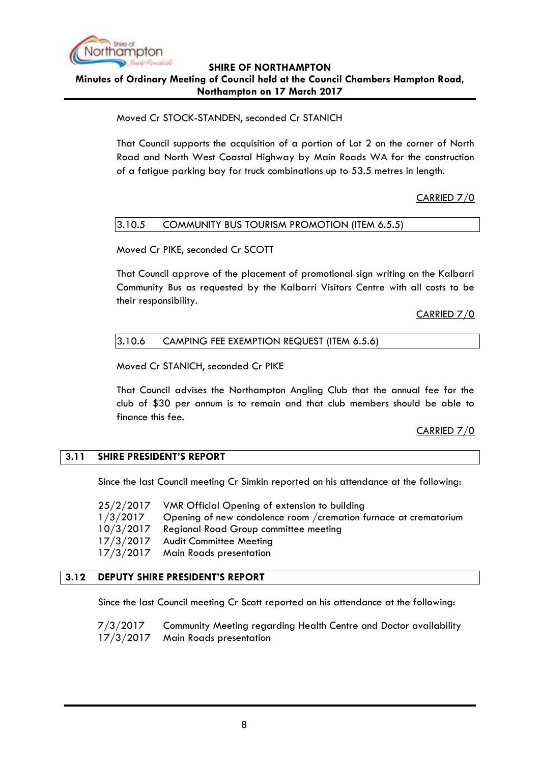

## **SHIRE OF NORTHAMPTON Minutes of Ordinary Meeting of Council held at the Council Chambers Hampton Road, Northampton on 17 March 2017**

# Moved Cr STOCK-STANDEN, seconded Cr STANICH

That Council supports the acquisition of a portion of Lot 2 on the corner of North Road and North West Coastal Highway by Main Roads WA for the construction of a fatigue parking bay for truck combinations up to 53.5 metres in length.

# CARRIED 7/0

# <span id="page-7-0"></span>3.10.5 COMMUNITY BUS TOURISM PROMOTION (ITEM 6.5.5)

Moved Cr PIKE, seconded Cr SCOTT

That Council approve of the placement of promotional sign writing on the Kalbarri Community Bus as requested by the Kalbarri Visitors Centre with all costs to be their responsibility.

CARRIED 7/0

## <span id="page-7-1"></span>3.10.6 CAMPING FEE EXEMPTION REQUEST (ITEM 6.5.6)

Moved Cr STANICH, seconded Cr PIKE

That Council advises the Northampton Angling Club that the annual fee for the club of \$30 per annum is to remain and that club members should be able to finance this fee.

# CARRIED 7/0

### <span id="page-7-2"></span>**3.11 SHIRE PRESIDENT'S REPORT**

Since the last Council meeting Cr Simkin reported on his attendance at the following:

25/2/2017 VMR Official Opening of extension to building 1/3/2017 Opening of new condolence room /cremation furnace at crematorium 10/3/2017 Regional Road Group committee meeting 17/3/2017 Audit Committee Meeting 17/3/2017 Main Roads presentation

### <span id="page-7-3"></span>**3.12 DEPUTY SHIRE PRESIDENT'S REPORT**

Since the last Council meeting Cr Scott reported on his attendance at the following:

7/3/2017 Community Meeting regarding Health Centre and Doctor availability 17/3/2017 Main Roads presentation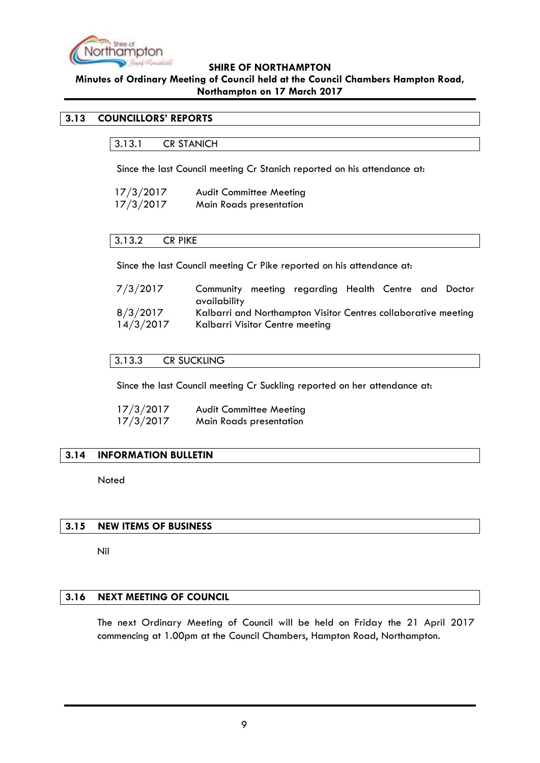

# **Minutes of Ordinary Meeting of Council held at the Council Chambers Hampton Road, Northampton on 17 March 2017**

# <span id="page-8-1"></span><span id="page-8-0"></span>**3.13 COUNCILLORS' REPORTS**

3.13.1 CR STANICH

Since the last Council meeting Cr Stanich reported on his attendance at:

| 17/3/2017 | <b>Audit Committee Meeting</b> |
|-----------|--------------------------------|
| 17/3/2017 | Main Roads presentation        |

### <span id="page-8-2"></span>3.13.2 CR PIKE

Since the last Council meeting Cr Pike reported on his attendance at:

| 7/3/2017  | Community meeting regarding Health Centre and Doctor           |  |  |  |
|-----------|----------------------------------------------------------------|--|--|--|
|           | availability                                                   |  |  |  |
| 8/3/2017  | Kalbarri and Northampton Visitor Centres collaborative meeting |  |  |  |
| 14/3/2017 | Kalbarri Visitor Centre meeting                                |  |  |  |

### <span id="page-8-3"></span>3.13.3 CR SUCKLING

Since the last Council meeting Cr Suckling reported on her attendance at:

| 17/3/2017 | <b>Audit Committee Meeting</b> |
|-----------|--------------------------------|
| 17/3/2017 | <b>Main Roads presentation</b> |

### <span id="page-8-4"></span>**3.14 INFORMATION BULLETIN**

Noted

### <span id="page-8-5"></span>**3.15 NEW ITEMS OF BUSINESS**

Nil

### <span id="page-8-6"></span>**3.16 NEXT MEETING OF COUNCIL**

The next Ordinary Meeting of Council will be held on Friday the 21 April 2017 commencing at 1.00pm at the Council Chambers, Hampton Road, Northampton.